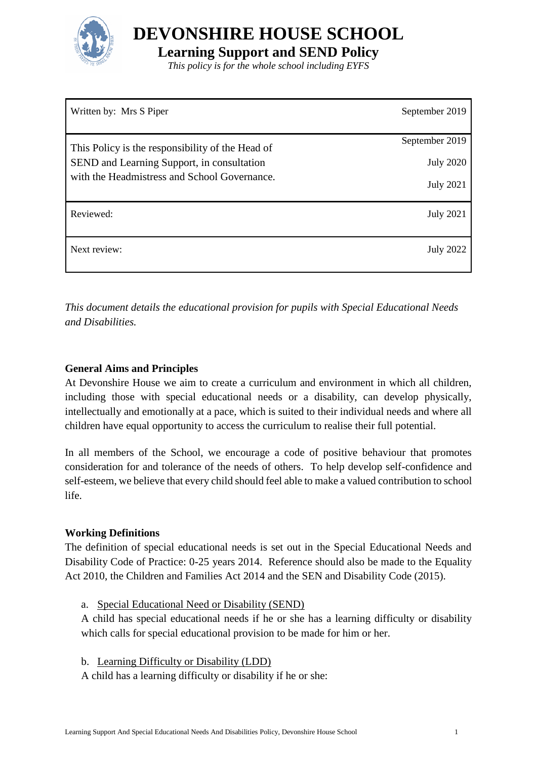

**DEVONSHIRE HOUSE SCHOOL**

**Learning Support and SEND Policy**

*This policy is for the whole school including EYFS*

| Written by: Mrs S Piper                                                                                                                        | September 2019                                         |
|------------------------------------------------------------------------------------------------------------------------------------------------|--------------------------------------------------------|
| This Policy is the responsibility of the Head of<br>SEND and Learning Support, in consultation<br>with the Headmistress and School Governance. | September 2019<br><b>July 2020</b><br><b>July 2021</b> |
| Reviewed:                                                                                                                                      | <b>July 2021</b>                                       |
| Next review:                                                                                                                                   | <b>July 2022</b>                                       |

*This document details the educational provision for pupils with Special Educational Needs and Disabilities.* 

### **General Aims and Principles**

At Devonshire House we aim to create a curriculum and environment in which all children, including those with special educational needs or a disability, can develop physically, intellectually and emotionally at a pace, which is suited to their individual needs and where all children have equal opportunity to access the curriculum to realise their full potential.

In all members of the School, we encourage a code of positive behaviour that promotes consideration for and tolerance of the needs of others. To help develop self-confidence and self-esteem, we believe that every child should feel able to make a valued contribution to school life.

### **Working Definitions**

The definition of special educational needs is set out in the Special Educational Needs and Disability Code of Practice: 0-25 years 2014. Reference should also be made to the Equality Act 2010, the Children and Families Act 2014 and the SEN and Disability Code (2015).

a. Special Educational Need or Disability (SEND)

A child has special educational needs if he or she has a learning difficulty or disability which calls for special educational provision to be made for him or her.

b. Learning Difficulty or Disability (LDD)

A child has a learning difficulty or disability if he or she: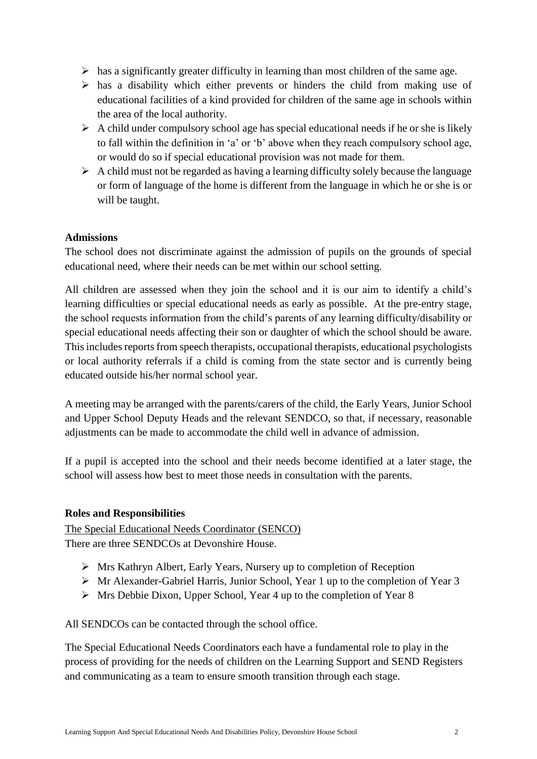- $\triangleright$  has a significantly greater difficulty in learning than most children of the same age.
- $\triangleright$  has a disability which either prevents or hinders the child from making use of educational facilities of a kind provided for children of the same age in schools within the area of the local authority.
- $\triangleright$  A child under compulsory school age has special educational needs if he or she is likely to fall within the definition in 'a' or 'b' above when they reach compulsory school age, or would do so if special educational provision was not made for them.
- $\triangleright$  A child must not be regarded as having a learning difficulty solely because the language or form of language of the home is different from the language in which he or she is or will be taught.

#### **Admissions**

The school does not discriminate against the admission of pupils on the grounds of special educational need, where their needs can be met within our school setting.

All children are assessed when they join the school and it is our aim to identify a child's learning difficulties or special educational needs as early as possible. At the pre-entry stage, the school requests information from the child's parents of any learning difficulty/disability or special educational needs affecting their son or daughter of which the school should be aware. This includes reports from speech therapists, occupational therapists, educational psychologists or local authority referrals if a child is coming from the state sector and is currently being educated outside his/her normal school year.

A meeting may be arranged with the parents/carers of the child, the Early Years, Junior School and Upper School Deputy Heads and the relevant SENDCO, so that, if necessary, reasonable adjustments can be made to accommodate the child well in advance of admission.

If a pupil is accepted into the school and their needs become identified at a later stage, the school will assess how best to meet those needs in consultation with the parents.

#### **Roles and Responsibilities**

The Special Educational Needs Coordinator (SENCO) There are three SENDCOs at Devonshire House.

- Mrs Kathryn Albert, Early Years, Nursery up to completion of Reception
- Mr Alexander-Gabriel Harris, Junior School, Year 1 up to the completion of Year 3
- $\triangleright$  Mrs Debbie Dixon, Upper School, Year 4 up to the completion of Year 8

All SENDCOs can be contacted through the school office.

The Special Educational Needs Coordinators each have a fundamental role to play in the process of providing for the needs of children on the Learning Support and SEND Registers and communicating as a team to ensure smooth transition through each stage.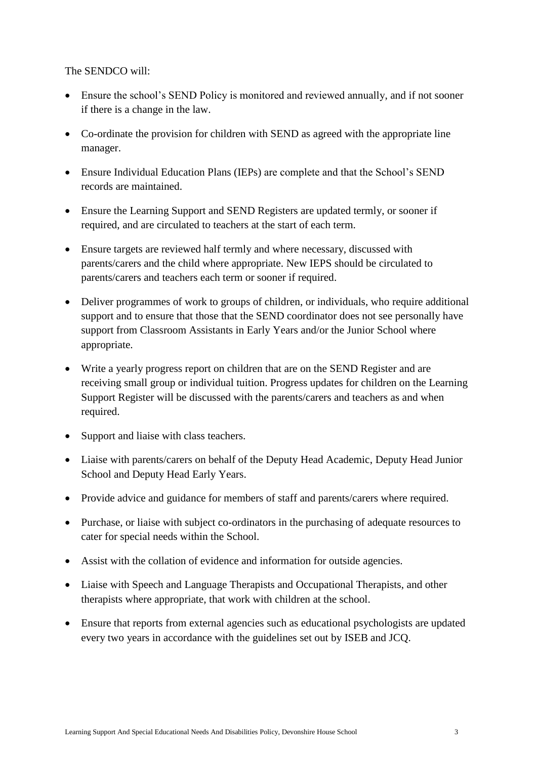The SENDCO will:

- Ensure the school's SEND Policy is monitored and reviewed annually, and if not sooner if there is a change in the law.
- Co-ordinate the provision for children with SEND as agreed with the appropriate line manager.
- Ensure Individual Education Plans (IEPs) are complete and that the School's SEND records are maintained.
- Ensure the Learning Support and SEND Registers are updated termly, or sooner if required, and are circulated to teachers at the start of each term.
- Ensure targets are reviewed half termly and where necessary, discussed with parents/carers and the child where appropriate. New IEPS should be circulated to parents/carers and teachers each term or sooner if required.
- Deliver programmes of work to groups of children, or individuals, who require additional support and to ensure that those that the SEND coordinator does not see personally have support from Classroom Assistants in Early Years and/or the Junior School where appropriate.
- Write a yearly progress report on children that are on the SEND Register and are receiving small group or individual tuition. Progress updates for children on the Learning Support Register will be discussed with the parents/carers and teachers as and when required.
- Support and liaise with class teachers.
- Liaise with parents/carers on behalf of the Deputy Head Academic, Deputy Head Junior School and Deputy Head Early Years.
- Provide advice and guidance for members of staff and parents/carers where required.
- Purchase, or liaise with subject co-ordinators in the purchasing of adequate resources to cater for special needs within the School.
- Assist with the collation of evidence and information for outside agencies.
- Liaise with Speech and Language Therapists and Occupational Therapists, and other therapists where appropriate, that work with children at the school.
- Ensure that reports from external agencies such as educational psychologists are updated every two years in accordance with the guidelines set out by ISEB and JCQ.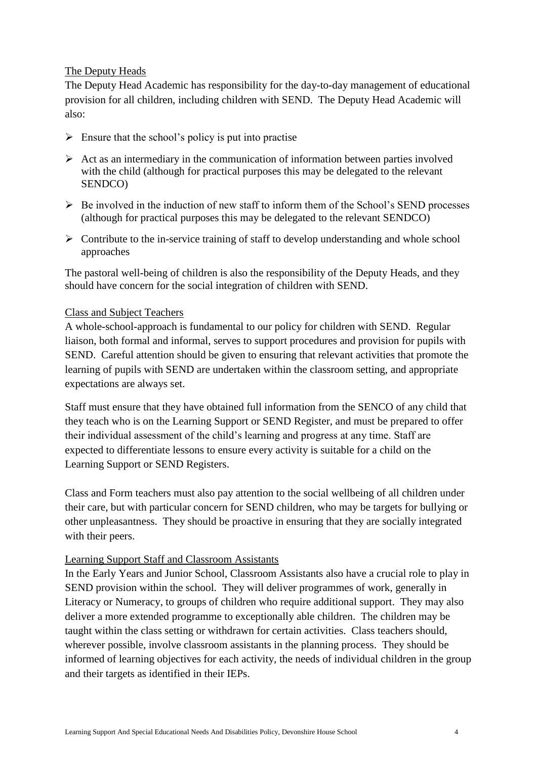### The Deputy Heads

The Deputy Head Academic has responsibility for the day-to-day management of educational provision for all children, including children with SEND. The Deputy Head Academic will also:

- $\triangleright$  Ensure that the school's policy is put into practise
- $\triangleright$  Act as an intermediary in the communication of information between parties involved with the child (although for practical purposes this may be delegated to the relevant SENDCO)
- $\triangleright$  Be involved in the induction of new staff to inform them of the School's SEND processes (although for practical purposes this may be delegated to the relevant SENDCO)
- $\triangleright$  Contribute to the in-service training of staff to develop understanding and whole school approaches

The pastoral well-being of children is also the responsibility of the Deputy Heads, and they should have concern for the social integration of children with SEND.

### Class and Subject Teachers

A whole-school-approach is fundamental to our policy for children with SEND. Regular liaison, both formal and informal, serves to support procedures and provision for pupils with SEND. Careful attention should be given to ensuring that relevant activities that promote the learning of pupils with SEND are undertaken within the classroom setting, and appropriate expectations are always set.

Staff must ensure that they have obtained full information from the SENCO of any child that they teach who is on the Learning Support or SEND Register, and must be prepared to offer their individual assessment of the child's learning and progress at any time. Staff are expected to differentiate lessons to ensure every activity is suitable for a child on the Learning Support or SEND Registers.

Class and Form teachers must also pay attention to the social wellbeing of all children under their care, but with particular concern for SEND children, who may be targets for bullying or other unpleasantness. They should be proactive in ensuring that they are socially integrated with their peers.

#### Learning Support Staff and Classroom Assistants

In the Early Years and Junior School, Classroom Assistants also have a crucial role to play in SEND provision within the school. They will deliver programmes of work, generally in Literacy or Numeracy, to groups of children who require additional support. They may also deliver a more extended programme to exceptionally able children. The children may be taught within the class setting or withdrawn for certain activities. Class teachers should, wherever possible, involve classroom assistants in the planning process. They should be informed of learning objectives for each activity, the needs of individual children in the group and their targets as identified in their IEPs.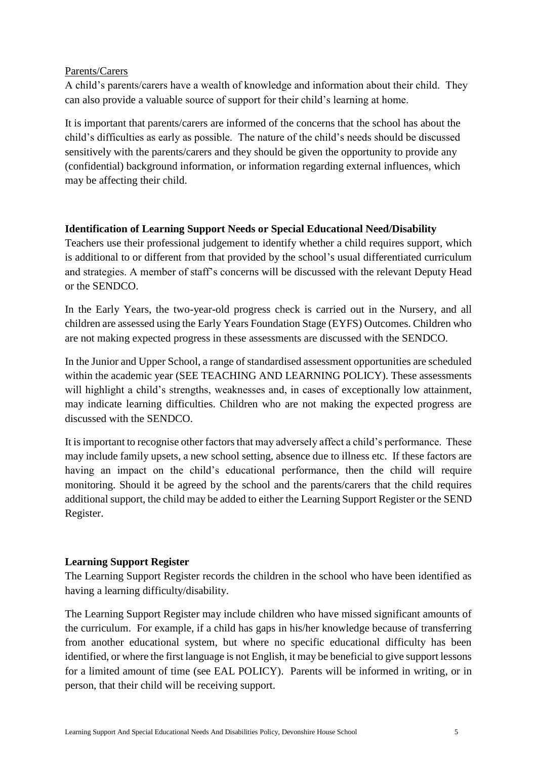### Parents/Carers

A child's parents/carers have a wealth of knowledge and information about their child. They can also provide a valuable source of support for their child's learning at home.

It is important that parents/carers are informed of the concerns that the school has about the child's difficulties as early as possible. The nature of the child's needs should be discussed sensitively with the parents/carers and they should be given the opportunity to provide any (confidential) background information, or information regarding external influences, which may be affecting their child.

### **Identification of Learning Support Needs or Special Educational Need/Disability**

Teachers use their professional judgement to identify whether a child requires support, which is additional to or different from that provided by the school's usual differentiated curriculum and strategies. A member of staff's concerns will be discussed with the relevant Deputy Head or the SENDCO.

In the Early Years, the two-year-old progress check is carried out in the Nursery, and all children are assessed using the Early Years Foundation Stage (EYFS) Outcomes. Children who are not making expected progress in these assessments are discussed with the SENDCO.

In the Junior and Upper School, a range of standardised assessment opportunities are scheduled within the academic year (SEE TEACHING AND LEARNING POLICY). These assessments will highlight a child's strengths, weaknesses and, in cases of exceptionally low attainment, may indicate learning difficulties. Children who are not making the expected progress are discussed with the SENDCO.

It is important to recognise other factors that may adversely affect a child's performance. These may include family upsets, a new school setting, absence due to illness etc. If these factors are having an impact on the child's educational performance, then the child will require monitoring. Should it be agreed by the school and the parents/carers that the child requires additional support, the child may be added to either the Learning Support Register or the SEND Register.

# **Learning Support Register**

The Learning Support Register records the children in the school who have been identified as having a learning difficulty/disability.

The Learning Support Register may include children who have missed significant amounts of the curriculum. For example, if a child has gaps in his/her knowledge because of transferring from another educational system, but where no specific educational difficulty has been identified, or where the first language is not English, it may be beneficial to give support lessons for a limited amount of time (see EAL POLICY). Parents will be informed in writing, or in person, that their child will be receiving support.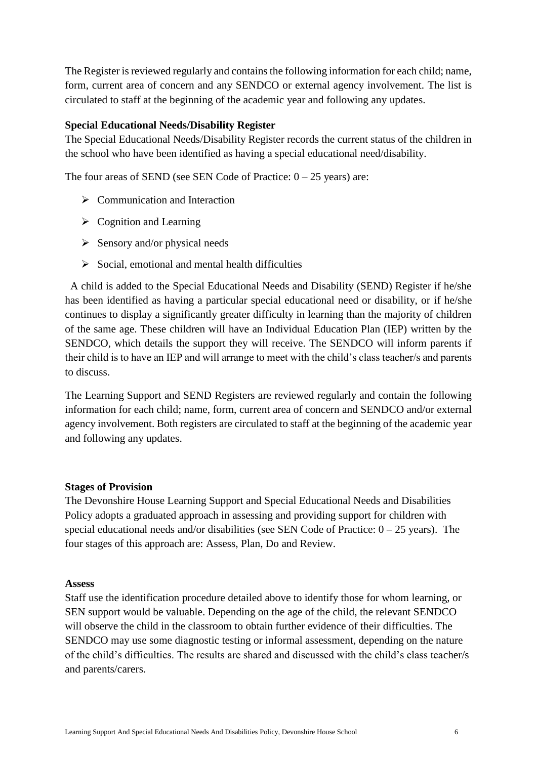The Register is reviewed regularly and contains the following information for each child; name, form, current area of concern and any SENDCO or external agency involvement. The list is circulated to staff at the beginning of the academic year and following any updates.

#### **Special Educational Needs/Disability Register**

The Special Educational Needs/Disability Register records the current status of the children in the school who have been identified as having a special educational need/disability.

The four areas of SEND (see SEN Code of Practice:  $0 - 25$  years) are:

- $\triangleright$  Communication and Interaction
- $\triangleright$  Cognition and Learning
- $\triangleright$  Sensory and/or physical needs
- $\triangleright$  Social, emotional and mental health difficulties

 A child is added to the Special Educational Needs and Disability (SEND) Register if he/she has been identified as having a particular special educational need or disability, or if he/she continues to display a significantly greater difficulty in learning than the majority of children of the same age. These children will have an Individual Education Plan (IEP) written by the SENDCO, which details the support they will receive. The SENDCO will inform parents if their child is to have an IEP and will arrange to meet with the child's class teacher/s and parents to discuss.

The Learning Support and SEND Registers are reviewed regularly and contain the following information for each child; name, form, current area of concern and SENDCO and/or external agency involvement. Both registers are circulated to staff at the beginning of the academic year and following any updates.

#### **Stages of Provision**

The Devonshire House Learning Support and Special Educational Needs and Disabilities Policy adopts a graduated approach in assessing and providing support for children with special educational needs and/or disabilities (see SEN Code of Practice:  $0 - 25$  years). The four stages of this approach are: Assess, Plan, Do and Review.

#### **Assess**

Staff use the identification procedure detailed above to identify those for whom learning, or SEN support would be valuable. Depending on the age of the child, the relevant SENDCO will observe the child in the classroom to obtain further evidence of their difficulties. The SENDCO may use some diagnostic testing or informal assessment, depending on the nature of the child's difficulties. The results are shared and discussed with the child's class teacher/s and parents/carers.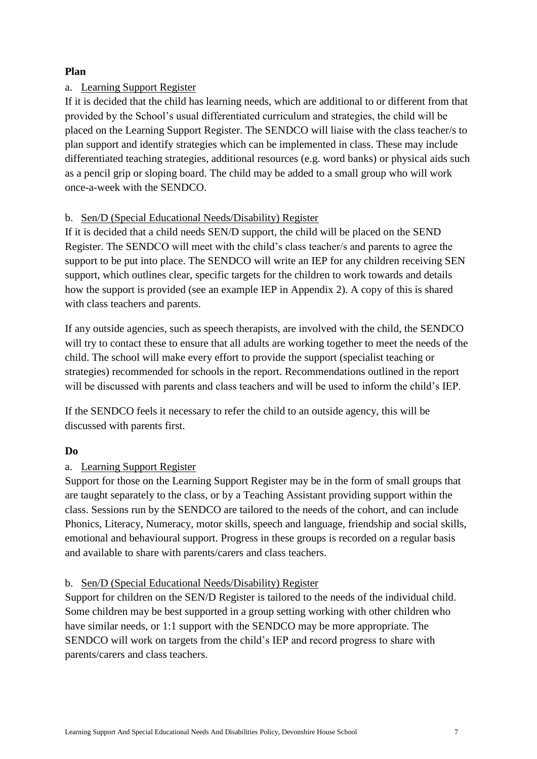### **Plan**

### a. Learning Support Register

If it is decided that the child has learning needs, which are additional to or different from that provided by the School's usual differentiated curriculum and strategies, the child will be placed on the Learning Support Register. The SENDCO will liaise with the class teacher/s to plan support and identify strategies which can be implemented in class. These may include differentiated teaching strategies, additional resources (e.g. word banks) or physical aids such as a pencil grip or sloping board. The child may be added to a small group who will work once-a-week with the SENDCO.

### b. Sen/D (Special Educational Needs/Disability) Register

If it is decided that a child needs SEN/D support, the child will be placed on the SEND Register. The SENDCO will meet with the child's class teacher/s and parents to agree the support to be put into place. The SENDCO will write an IEP for any children receiving SEN support, which outlines clear, specific targets for the children to work towards and details how the support is provided (see an example IEP in Appendix 2). A copy of this is shared with class teachers and parents.

If any outside agencies, such as speech therapists, are involved with the child, the SENDCO will try to contact these to ensure that all adults are working together to meet the needs of the child. The school will make every effort to provide the support (specialist teaching or strategies) recommended for schools in the report. Recommendations outlined in the report will be discussed with parents and class teachers and will be used to inform the child's IEP.

If the SENDCO feels it necessary to refer the child to an outside agency, this will be discussed with parents first.

# **Do**

# a. Learning Support Register

Support for those on the Learning Support Register may be in the form of small groups that are taught separately to the class, or by a Teaching Assistant providing support within the class. Sessions run by the SENDCO are tailored to the needs of the cohort, and can include Phonics, Literacy, Numeracy, motor skills, speech and language, friendship and social skills, emotional and behavioural support. Progress in these groups is recorded on a regular basis and available to share with parents/carers and class teachers.

### b. Sen/D (Special Educational Needs/Disability) Register

Support for children on the SEN/D Register is tailored to the needs of the individual child. Some children may be best supported in a group setting working with other children who have similar needs, or 1:1 support with the SENDCO may be more appropriate. The SENDCO will work on targets from the child's IEP and record progress to share with parents/carers and class teachers.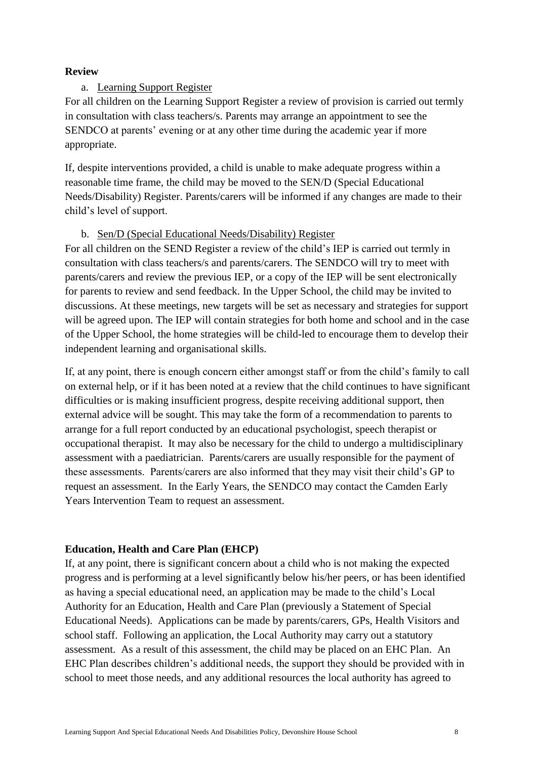### **Review**

### a. Learning Support Register

For all children on the Learning Support Register a review of provision is carried out termly in consultation with class teachers/s. Parents may arrange an appointment to see the SENDCO at parents' evening or at any other time during the academic year if more appropriate.

If, despite interventions provided, a child is unable to make adequate progress within a reasonable time frame, the child may be moved to the SEN/D (Special Educational Needs/Disability) Register. Parents/carers will be informed if any changes are made to their child's level of support.

### b. Sen/D (Special Educational Needs/Disability) Register

For all children on the SEND Register a review of the child's IEP is carried out termly in consultation with class teachers/s and parents/carers. The SENDCO will try to meet with parents/carers and review the previous IEP, or a copy of the IEP will be sent electronically for parents to review and send feedback. In the Upper School, the child may be invited to discussions. At these meetings, new targets will be set as necessary and strategies for support will be agreed upon. The IEP will contain strategies for both home and school and in the case of the Upper School, the home strategies will be child-led to encourage them to develop their independent learning and organisational skills.

If, at any point, there is enough concern either amongst staff or from the child's family to call on external help, or if it has been noted at a review that the child continues to have significant difficulties or is making insufficient progress, despite receiving additional support, then external advice will be sought. This may take the form of a recommendation to parents to arrange for a full report conducted by an educational psychologist, speech therapist or occupational therapist. It may also be necessary for the child to undergo a multidisciplinary assessment with a paediatrician. Parents/carers are usually responsible for the payment of these assessments. Parents/carers are also informed that they may visit their child's GP to request an assessment. In the Early Years, the SENDCO may contact the Camden Early Years Intervention Team to request an assessment.

#### **Education, Health and Care Plan (EHCP)**

If, at any point, there is significant concern about a child who is not making the expected progress and is performing at a level significantly below his/her peers, or has been identified as having a special educational need, an application may be made to the child's Local Authority for an Education, Health and Care Plan (previously a Statement of Special Educational Needs). Applications can be made by parents/carers, GPs, Health Visitors and school staff. Following an application, the Local Authority may carry out a statutory assessment. As a result of this assessment, the child may be placed on an EHC Plan. An EHC Plan describes children's additional needs, the support they should be provided with in school to meet those needs, and any additional resources the local authority has agreed to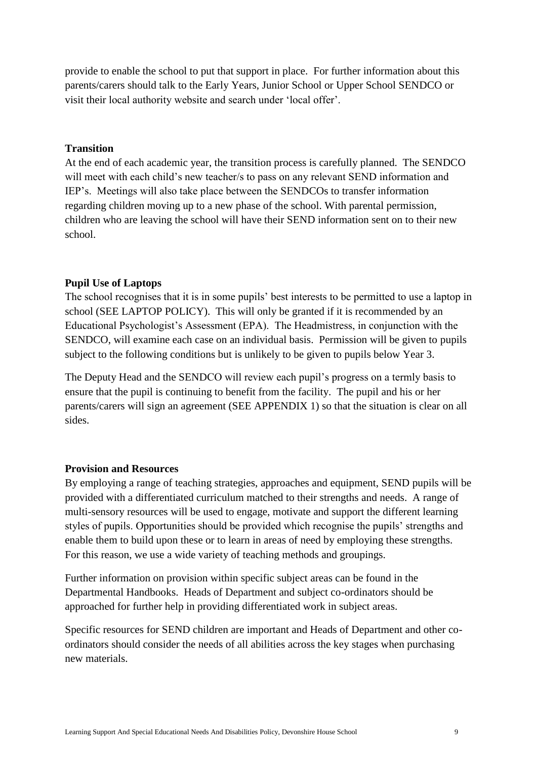provide to enable the school to put that support in place. For further information about this parents/carers should talk to the Early Years, Junior School or Upper School SENDCO or visit their local authority website and search under 'local offer'.

#### **Transition**

At the end of each academic year, the transition process is carefully planned. The SENDCO will meet with each child's new teacher/s to pass on any relevant SEND information and IEP's. Meetings will also take place between the SENDCOs to transfer information regarding children moving up to a new phase of the school. With parental permission, children who are leaving the school will have their SEND information sent on to their new school.

#### **Pupil Use of Laptops**

The school recognises that it is in some pupils' best interests to be permitted to use a laptop in school (SEE LAPTOP POLICY). This will only be granted if it is recommended by an Educational Psychologist's Assessment (EPA). The Headmistress, in conjunction with the SENDCO, will examine each case on an individual basis. Permission will be given to pupils subject to the following conditions but is unlikely to be given to pupils below Year 3.

The Deputy Head and the SENDCO will review each pupil's progress on a termly basis to ensure that the pupil is continuing to benefit from the facility. The pupil and his or her parents/carers will sign an agreement (SEE APPENDIX 1) so that the situation is clear on all sides.

#### **Provision and Resources**

By employing a range of teaching strategies, approaches and equipment, SEND pupils will be provided with a differentiated curriculum matched to their strengths and needs. A range of multi-sensory resources will be used to engage, motivate and support the different learning styles of pupils. Opportunities should be provided which recognise the pupils' strengths and enable them to build upon these or to learn in areas of need by employing these strengths. For this reason, we use a wide variety of teaching methods and groupings.

Further information on provision within specific subject areas can be found in the Departmental Handbooks. Heads of Department and subject co-ordinators should be approached for further help in providing differentiated work in subject areas.

Specific resources for SEND children are important and Heads of Department and other coordinators should consider the needs of all abilities across the key stages when purchasing new materials.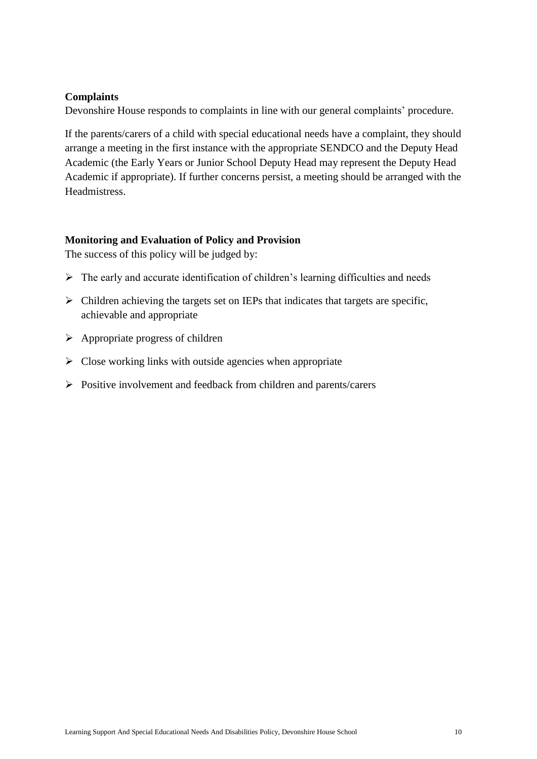### **Complaints**

Devonshire House responds to complaints in line with our general complaints' procedure.

If the parents/carers of a child with special educational needs have a complaint, they should arrange a meeting in the first instance with the appropriate SENDCO and the Deputy Head Academic (the Early Years or Junior School Deputy Head may represent the Deputy Head Academic if appropriate). If further concerns persist, a meeting should be arranged with the Headmistress.

#### **Monitoring and Evaluation of Policy and Provision**

The success of this policy will be judged by:

- $\triangleright$  The early and accurate identification of children's learning difficulties and needs
- $\triangleright$  Children achieving the targets set on IEPs that indicates that targets are specific, achievable and appropriate
- $\triangleright$  Appropriate progress of children
- $\triangleright$  Close working links with outside agencies when appropriate
- $\triangleright$  Positive involvement and feedback from children and parents/carers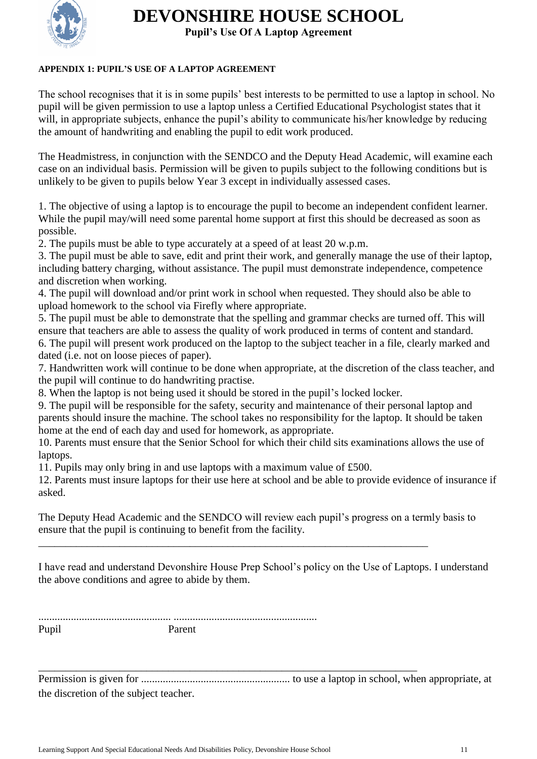

# **DEVONSHIRE HOUSE SCHOOL**

**Pupil's Use Of A Laptop Agreement**

### **APPENDIX 1: PUPIL'S USE OF A LAPTOP AGREEMENT**

The school recognises that it is in some pupils' best interests to be permitted to use a laptop in school. No pupil will be given permission to use a laptop unless a Certified Educational Psychologist states that it will, in appropriate subjects, enhance the pupil's ability to communicate his/her knowledge by reducing the amount of handwriting and enabling the pupil to edit work produced.

The Headmistress, in conjunction with the SENDCO and the Deputy Head Academic, will examine each case on an individual basis. Permission will be given to pupils subject to the following conditions but is unlikely to be given to pupils below Year 3 except in individually assessed cases.

1. The objective of using a laptop is to encourage the pupil to become an independent confident learner. While the pupil may/will need some parental home support at first this should be decreased as soon as possible.

2. The pupils must be able to type accurately at a speed of at least 20 w.p.m.

3. The pupil must be able to save, edit and print their work, and generally manage the use of their laptop, including battery charging, without assistance. The pupil must demonstrate independence, competence and discretion when working.

4. The pupil will download and/or print work in school when requested. They should also be able to upload homework to the school via Firefly where appropriate.

5. The pupil must be able to demonstrate that the spelling and grammar checks are turned off. This will ensure that teachers are able to assess the quality of work produced in terms of content and standard. 6. The pupil will present work produced on the laptop to the subject teacher in a file, clearly marked and dated (i.e. not on loose pieces of paper).

7. Handwritten work will continue to be done when appropriate, at the discretion of the class teacher, and the pupil will continue to do handwriting practise.

8. When the laptop is not being used it should be stored in the pupil's locked locker.

9. The pupil will be responsible for the safety, security and maintenance of their personal laptop and parents should insure the machine. The school takes no responsibility for the laptop. It should be taken home at the end of each day and used for homework, as appropriate.

10. Parents must ensure that the Senior School for which their child sits examinations allows the use of laptops.

11. Pupils may only bring in and use laptops with a maximum value of £500.

12. Parents must insure laptops for their use here at school and be able to provide evidence of insurance if asked.

The Deputy Head Academic and the SENDCO will review each pupil's progress on a termly basis to ensure that the pupil is continuing to benefit from the facility.

\_\_\_\_\_\_\_\_\_\_\_\_\_\_\_\_\_\_\_\_\_\_\_\_\_\_\_\_\_\_\_\_\_\_\_\_\_\_\_\_\_\_\_\_\_\_\_\_\_\_\_\_\_\_\_\_\_\_\_\_\_\_\_\_\_\_\_\_\_\_\_\_

\_\_\_\_\_\_\_\_\_\_\_\_\_\_\_\_\_\_\_\_\_\_\_\_\_\_\_\_\_\_\_\_\_\_\_\_\_\_\_\_\_\_\_\_\_\_\_\_\_\_\_\_\_\_\_\_\_\_\_\_\_\_\_\_\_\_\_\_\_\_

I have read and understand Devonshire House Prep School's policy on the Use of Laptops. I understand the above conditions and agree to abide by them.

| Pup |  |
|-----|--|

Permission is given for ....................................................... to use a laptop in school, when appropriate, at the discretion of the subject teacher.